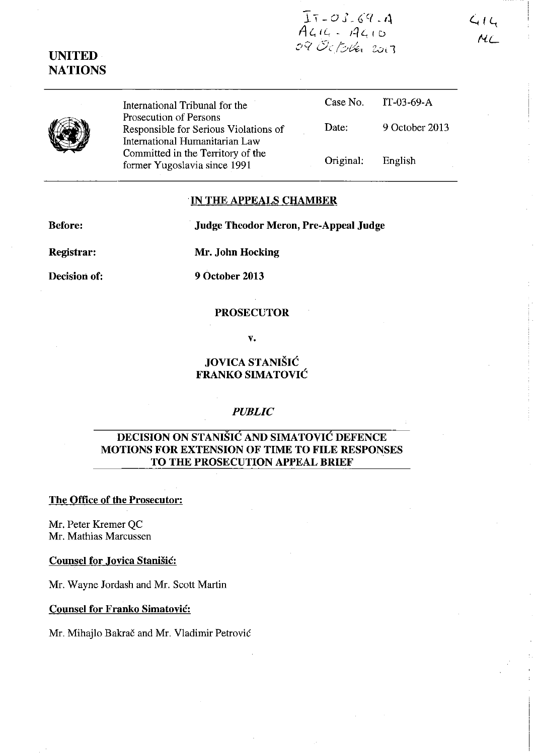$\bar{1}7 - 03.69 - 4$  $\overline{A}$ *44 - A410* 09 October 2013

IT-03-69-A

English

9 October 2013

# **UNITED NATIONS**

International Tribunal for the Prosecution of Persons Responsible for Serious Violations of International Humanitarian Law Committed in the Territory of the former Yugoslavia since 1991 Case No. Date: Original:

## **IN THE APPEALS CHAMBER**

**Before:** Judge Theodor Meron, Pre-Appeal Judge

------------------ ------------

**Registrar:** 

**Mr. John Hocking** 

**Decision of:** 

**9 October 2013** 

### **PROSECUTOR**

v.

## **JOVICA** STANIŠIĆ **FRANKO SIMA** TOVIĆ

## *PUBLIC*

## **DECISION ON** STANIŠIĆ **AND** SIMATOVIĆ **DEFENCE MOTIONS FOR EXTENSION OF TIME TO FILE RESPONSES TO THE PROSECUTION APPEAL BRIEF**

### **The Office of the Prosecutor:**

**Mr.** Peter Kremer QC Mr. Mathias Marcussen

#### **Counsel for Jovica** Stanišić:

**Mr.** Wayne Jordash and Mr. Scott Martin

#### **Counsel for Franko** Simatović:

Mr. Mihajlo Bakrač and Mr. Vladimir Petrović

 $414$ ML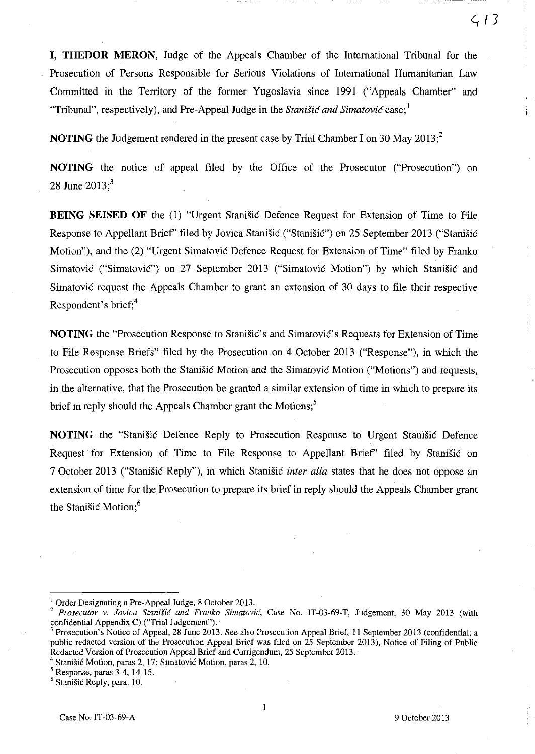**I, THEDOR MERON,** Judge of the Appeals Chamber of the International Tribunal for the Prosecution of Persons Responsible for Serious Violations of International Humanitarian Law Committed in the Territory of the former Yugoslavia since 1991 ("Appeals Chamber" and "Tribunal", respectively), and Pre-Appeal Judge in the Stanišić *and* Simatović case; 1

**NOTING** the Judgement rendered in the present case by Trial Chamber I on 30 May 2013:<sup>2</sup>

**NOTING** the notice of appeal filed by the Office of the Prosecutor ("Prosecution") on 28 June  $2013$ ;<sup>3</sup>

**BEING SEISED OF** the (1) "Urgent Stanišić Defence Request for Extension of Time to File Response to Appeliant Brief' filed by Jovica Stanišić ("Stanišić") on 25 September 2013 ("Stanišić Motion"), and the (2) "Urgent Simatović Defence Request for Extension of Time" filed by Franko Simatović ("Simatović") on 27 September 2013 ("Simatović Motion") by which Stanišić and Simatović request the Appeals Chamber to grant an extension of 30 days to file their respective Respondent's brief;<sup>4</sup>

**NOTING** the "Prosecution Response to Stanišić's and Simatović's Requests for Extension of Time to File Response Briefs" filed by the Prosecution on 4 October 2013 ("Response"), in which the Prosecution opposes both the Stanišić Motion and the Simatović Motion ("Motions") and requests, in the alternative, that the Prosecution be granted a similar extension of time in which to prepare its brief in reply should the Appeals Chamber grant the Motions;<sup>5</sup>

**NOTING** the "Stanišić Defence Reply to Prosecution Response to Urgent Stanišić Defence Request for Extension of Time to File Response to Appellant Brief" filed by Stanišić on 7 October 2013 ("Stanišić Reply"), in which Stanišić *inter alia* states that he does not oppose an extension of time for the Prosecution to prepare its brief in reply should the Appeals Chamber grant the Stanišić Motion;<sup>6</sup>

Order Designating a Pre-Appeal Judge; 8 October 2013.

<sup>&</sup>lt;sup>2</sup> Prosecutor v. Jovica Stanišić and Franko Simatović, Case No. IT-03-69-T, Judgement, 30 May 2013 (with confidential Appendix C) ("Trial Judgement").

<sup>&</sup>lt;sup>3</sup> Prosecution's Notice of Appeal, 28 June 2013. See also Prosecution Appeal Brief, 11 September 2013 (confidential; a public redacted version of the Prosecution Appeal Brief was filed on 25 September 2013), Notice of Filing of Public Redacted Version of Prosecution Appeal Brief and Corrigendum, 25 September 2013.

<sup>&</sup>lt;sup>4</sup> Stanišić Motion, paras 2, 17; Simatović Motion, paras 2, 10.

 $<sup>5</sup>$  Response, paras  $3-4$ , 14-15.</sup>

<sup>&</sup>lt;sup>6</sup> Stanišić Reply, para. 10.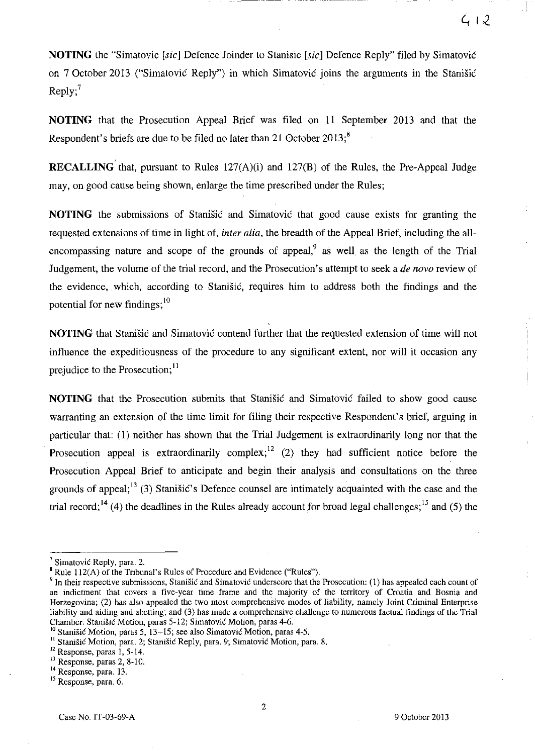**NOTING** the "Simatovic [sic] Defence Joinder to Stanisic [sic] Defence Reply" filed by Simatović on 7 October 2013 ("Sirnatović Reply") in which Simatović joins the arguments in the Stanišić  $Reply;$ <sup>7</sup>

**NOTING** that the Prosecution Appeal Brief was filed on **II** September 2013 and that the Respondent's briefs are due to be filed no later than 21 October  $2013$ ;<sup>8</sup>

**RECALLING** that, pursuant to Rules 127(A)(i) and 127(B) of the Rules, the Pre-Appeal Judge may, on good cause being shown, enlarge the time prescribed under the Rules;

**NOTING** the submissions of Stanišić and Simatović that good cause exists for granting the requested extensions of time in light of, *inter alia,* the breadth of the Appeal Brief, including the allencompassing nature and scope of the grounds of appeal, $9$  as well as the length of the Trial Judgement, the volume of the trial record, and the Prosecution's attempt to seek a *de novo* review of the evidence, which, according to Stanišić, requires him to address both the findings and the potential for new findings;<sup>10</sup>

**NOTING** that Stanišić and Simatović contend further that the requested extension of time will not influence the expeditiousness of the procedure to any significant extent, nor will it occasion any prejudice to the Prosecution;<sup>11</sup>

**NOTING** that the Prosecution submits that Stanišić and Simatović failed to show good cause warranting an extension of the time limit for filing their respective Respondent's brief, arguing in particular that: (1) neither has shown that the **Trial** Judgement is extraordinarily long nor that the Prosecution appeal is extraordinarily complex;  $12$  (2) they had sufficient notice before the Prosecution Appeal Brief to anticipate and begin their analysis and consultations on the three grounds of appeal;  $\frac{13}{3}$  (3) Stanišić's Defence counsel are intimately acquainted with the case and the trial record;<sup>14</sup> (4) the deadlines in the Rules already account for broad legal challenges;<sup>15</sup> and (5) the

 $<sup>7</sup>$  Simatović Reply, para. 2.</sup>

 $B$ Rule 112(A) of the Tribunal's Rules of Procedure and Evidence ("Rules").

**<sup>9</sup> In their respective submissions,** Stanišić **and** Simatović **underscore that the Prosecution: (1) has appealed each count of an indictment that covers a five-year time frame and the majority of the territory of Croatia and Bosnia and**  Herzegovina; (2) has also appealed the two most comprehensive modes of liability, namely Joint Criminal Enterprise liability and aiding and abetting; and (3) has made a comprehensive challenge to numerous factual findings of the Trial Chamber. Stanišić Motion, paras 5-12; Simatović Motion, paras 4-6.

**JO** Stanišić **Motion, paras 5, 13-15; see also** Simatović **Motion, paras 4-5,** 

<sup>&</sup>lt;sup>11</sup> Stanišić Motion, para. 2; Stanišić Reply, para. 9; Simatović Motion, para. 8.

 $12$  Response, paras 1, 5-14.

 $^{13}$  Response, paras 2, 8-10.

<sup>&</sup>lt;sup>14</sup> Response, para. 13.

**<sup>15</sup> Response, para. 6.**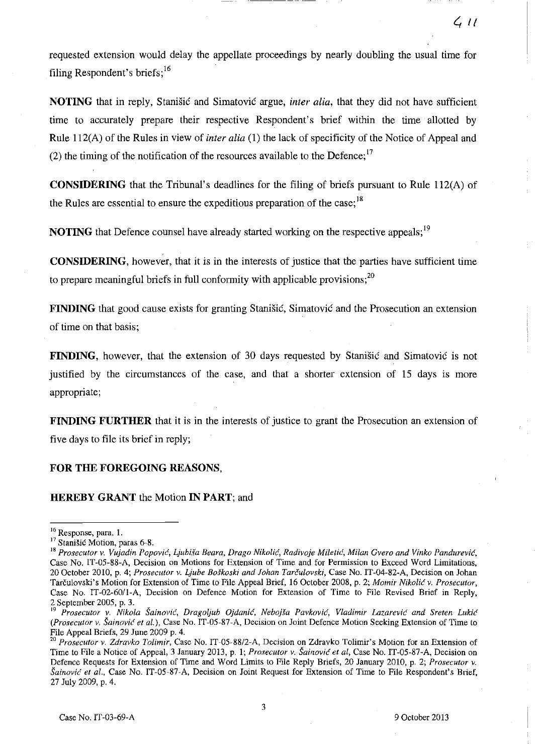requested extension would delay the appellate proceedings by nearly doubling the usual time for filing Respondent's briefs; 16

**NOTING** that in reply, Stanišić and Simatović argue, *inter alia,* that they did not have sufficient time to accurately prepare their respective Respondent's brief within the time allatted by Rule lI2(A) of the Rules in view of *inter alia* (1) the lack of specificity of the Notice of Appeal and (2) the timing of the notification of the resources available to the Defence;<sup>17</sup>

**CONSIDERING** that the Tribunal's deadlines for the filing of briefs pursuant to Rule 112(A) of the Rules are essential to ensure the expeditious preparation of the case;<sup>18</sup>

**NOTING** that Defence counsel have already started working on the respective appeals; <sup>19</sup>

**CONSIDERING,** however, that it is in the interests of justice that the parties have sufficient time to prepare meaningful briefs in full conformity with applicable provisions;<sup>20</sup>

**FINDING** that good cause exists for granting Stanišić, Simatović and the Prosecution an extension of time on that basis;

**FINDING,** however, that the extension of 30 days requested by Stanišić and Simatović is not justified by the circumstances of the case, and that a shorter extension of 15 days is more appropriate;

**FINDING FURTHER** that it is in the interests of justice to grant the Prosecution an extension of five days to file its brief in reply;

### **FOR THE FOREGOING REASONS,**

#### **HEREBY GRANT** the Motion **IN PART;** and

**<sup>16</sup>Response, para. 1.** 

<sup>&</sup>lt;sup>17</sup> Stanišić Motion, paras 6-8.

<sup>&</sup>lt;sup>18</sup> Prosecutor v. Vujadin Popović, Ljubiša Beara, Drago Nikolić, Radivoje Miletić, Milan Gvero and Vinko Pandurević, Case No. IT-05-88-A, Decision on Motions for Extension of Time and for Permission to Exceed Word Limitations, 20 October 2010, p. 4; *Prosecutor v. Ljube Boškoski and Johan Tarčulovski*, Case No. IT-04-82-A, Decision on Johan Tarčulovski's Motion for Extension of Time to File Appeal Brief, 16 October 2008, p. 2; *Momir* Nikolić *v. Prosecutor,*  Case No. IT-02-60/1-A, Decision on Defence Motion for Extension of Time to File Revised Brief in Reply, 2 September 2005, p. 3.

<sup>&</sup>lt;sup>19</sup> Prosecutor v. Nikola Šainović, Dragoljub Ojdanić, Nebojša Pavković, Vladimir Lazarević and Sreten Lukić *(Prosecutor v.* Šainović *et al.),* Case No. IT-05-87-A, Decision on Joint Defence Motion Seeking Extension of Time to File Appeal Briefs, 29 June 2009 p. 4.

*<sup>20</sup> Prosecutor v. Zdravko Tolimir,* Case No. IT-05-88/2-A, Decision on Zdravko Tolimir's Motion for an Extension of Time to File a Notice of Appeal, 3 January 2013, p. 1; *Pro.recutor v.* Šainović *et al,* Case No. IT-05-87-A, Decision on Defence Requests for Extension of Time and Word Limits to File Reply Briefs, 20 January 2010, p. 2; *Prosecutor v.*  Šainović *et al.,* Case No. IT-05-87-A, Decision on Joint Request for Extension of Time to File Respondent's Brief, 27 July 2009, p. 4.